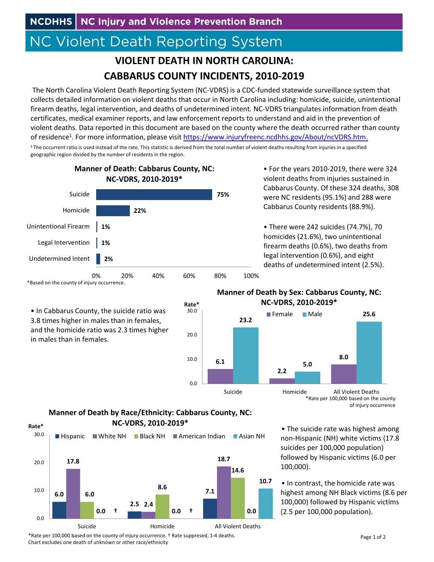## **NC Violent Death Reporting System**

## **VIOLENT DEATH IN NORTH CAROLINA: CABBARUS COUNTY INCIDENTS, 2010‐2019**

The North Carolina Violent Death Reporting System (NC‐VDRS) is a CDC‐funded statewide surveillance system that collects detailed information on violent deaths that occur in North Carolina including: homicide, suicide, unintentional firearm deaths, legal intervention, and deaths of undetermined intent. NC‐VDRS triangulates information from death certificates, medical examiner reports, and law enforcement reports to understand and aid in the prevention of violent deaths. Data reported in this document are based on the county where the death occurred rather than county of residence1. For more information, please visit https://www.injuryfreenc.ncdhhs.gov/About/ncVDRS.htm.

<sup>1</sup>The occurrent ratio is used instead of the rate. This statistic is derived from the total number of violent deaths resulting from injuries in a specified geographic region divided by the number of residents in the region.



• For the years 2010‐2019, there were 324 violent deaths from injuries sustained in Cabbarus County. Of these 324 deaths, 308 were NC residents (95.1%) and 288 were Cabbarus County residents (88.9%).

• There were 242 suicides (74.7%), 70 homicides (21.6%), two unintentional firearm deaths (0.6%), two deaths from legal intervention (0.6%), and eight deaths of undetermined intent (2.5%).

## **Manner of Death by Sex: Cabbarus County, NC:**



\*Rate per 100,000 based on the county of injury occurrence

• The suicide rate was highest among non‐Hispanic (NH) white victims (17.8 suicides per 100,000 population) followed by Hispanic victims (6.0 per 100,000).

• In contrast, the homicide rate was highest among NH Black victims (8.6 per 100,000) followed by Hispanic victims (2.5 per 100,000 population).

\*Based on the county of injury occurrence.

• In Cabbarus County, the suicide ratio was 3.8 times higher in males than in females, and the homicide ratio was 2.3 times higher in males than in females.

## **Manner of Death by Race/Ethnicity: Cabbarus County, NC: NC‐VDRS, 2010‐2019\***



\*Rate per 100,000 based on the county of injury occurrence. † Rate suppresed, 1‐4 deaths. Chart excludes one death of unknown or other race/ethnicity